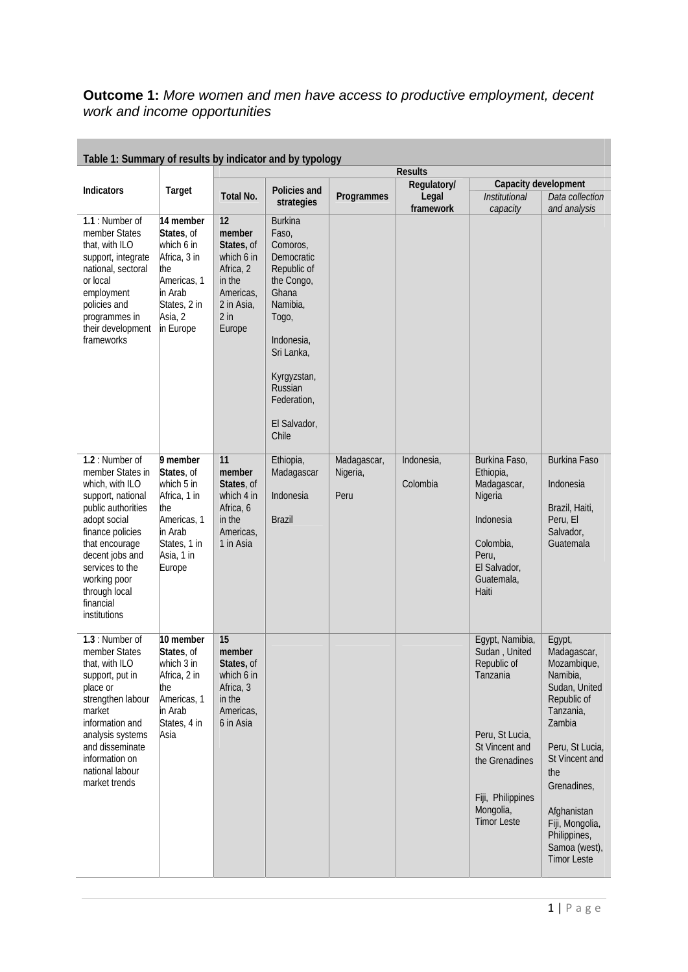## **Outcome 1:** *More women and men have access to productive employment, decent work and income opportunities*

| Table 1: Summary of results by indicator and by typology                                                                                                                                                                                                    |                                                                                                                                |                                                                                                                |                                                                                                                                                                                                            |                                 |                                   |                                                                                                                                                                            |                                                                                                                                                                                                                                                             |
|-------------------------------------------------------------------------------------------------------------------------------------------------------------------------------------------------------------------------------------------------------------|--------------------------------------------------------------------------------------------------------------------------------|----------------------------------------------------------------------------------------------------------------|------------------------------------------------------------------------------------------------------------------------------------------------------------------------------------------------------------|---------------------------------|-----------------------------------|----------------------------------------------------------------------------------------------------------------------------------------------------------------------------|-------------------------------------------------------------------------------------------------------------------------------------------------------------------------------------------------------------------------------------------------------------|
|                                                                                                                                                                                                                                                             |                                                                                                                                | <b>Results</b>                                                                                                 |                                                                                                                                                                                                            |                                 |                                   |                                                                                                                                                                            |                                                                                                                                                                                                                                                             |
| <b>Indicators</b>                                                                                                                                                                                                                                           | Target                                                                                                                         | Total No.                                                                                                      | Policies and<br>strategies                                                                                                                                                                                 | Programmes                      | Regulatory/<br>Legal<br>framework | Capacity development<br><b>Institutional</b><br>capacity                                                                                                                   | Data collection<br>and analysis                                                                                                                                                                                                                             |
| 1.1: Number of<br>member States<br>that, with ILO<br>support, integrate<br>national, sectoral<br>or local<br>employment<br>policies and<br>programmes in<br>their development<br>frameworks                                                                 | 14 member<br>States, of<br>which 6 in<br>Africa, 3 in<br>the<br>Americas, 1<br>in Arab<br>States, 2 in<br>Asia, 2<br>in Europe | 12<br>member<br>States, of<br>which 6 in<br>Africa, 2<br>in the<br>Americas,<br>2 in Asia,<br>$2$ in<br>Europe | <b>Burkina</b><br>Faso,<br>Comoros,<br>Democratic<br>Republic of<br>the Congo,<br>Ghana<br>Namibia,<br>Togo,<br>Indonesia,<br>Sri Lanka,<br>Kyrgyzstan,<br>Russian<br>Federation,<br>El Salvador,<br>Chile |                                 |                                   |                                                                                                                                                                            |                                                                                                                                                                                                                                                             |
| 1.2 : Number of<br>member States in<br>which, with ILO<br>support, national<br>public authorities<br>adopt social<br>finance policies<br>that encourage<br>decent jobs and<br>services to the<br>working poor<br>through local<br>financial<br>institutions | 9 member<br>States, of<br>which 5 in<br>Africa, 1 in<br>the<br>Americas, 1<br>in Arab<br>States, 1 in<br>Asia, 1 in<br>Europe  | 11<br>member<br>States, of<br>which 4 in<br>Africa, 6<br>in the<br>Americas,<br>1 in Asia                      | Ethiopia,<br>Madagascar<br>Indonesia<br><b>Brazil</b>                                                                                                                                                      | Madagascar,<br>Nigeria,<br>Peru | Indonesia,<br>Colombia            | Burkina Faso,<br>Ethiopia,<br>Madagascar,<br>Nigeria<br>Indonesia<br>Colombia,<br>Peru,<br>El Salvador,<br>Guatemala,<br>Haiti                                             | <b>Burkina Faso</b><br>Indonesia<br>Brazil, Haiti,<br>Peru, El<br>Salvador,<br>Guatemala                                                                                                                                                                    |
| 1.3: Number of<br>member States<br>that, with ILO<br>support, put in<br>place or<br>strengthen labour<br>market<br>information and<br>analysis systems<br>and disseminate<br>information on<br>national labour<br>market trends                             | 10 member<br>States, of<br>which 3 in<br>Africa, 2 in<br>the<br>Americas, 1<br>in Arab<br>States, 4 in<br>Asia                 | 15<br>member<br>States, of<br>which 6 in<br>Africa, 3<br>in the<br>Americas,<br>6 in Asia                      |                                                                                                                                                                                                            |                                 |                                   | Egypt, Namibia,<br>Sudan, United<br>Republic of<br>Tanzania<br>Peru, St Lucia,<br>St Vincent and<br>the Grenadines<br>Fiji, Philippines<br>Mongolia,<br><b>Timor Leste</b> | Egypt,<br>Madagascar,<br>Mozambique,<br>Namibia,<br>Sudan, United<br>Republic of<br>Tanzania,<br>Zambia<br>Peru, St Lucia,<br>St Vincent and<br>the<br>Grenadines,<br>Afghanistan<br>Fiji, Mongolia,<br>Philippines,<br>Samoa (west),<br><b>Timor Leste</b> |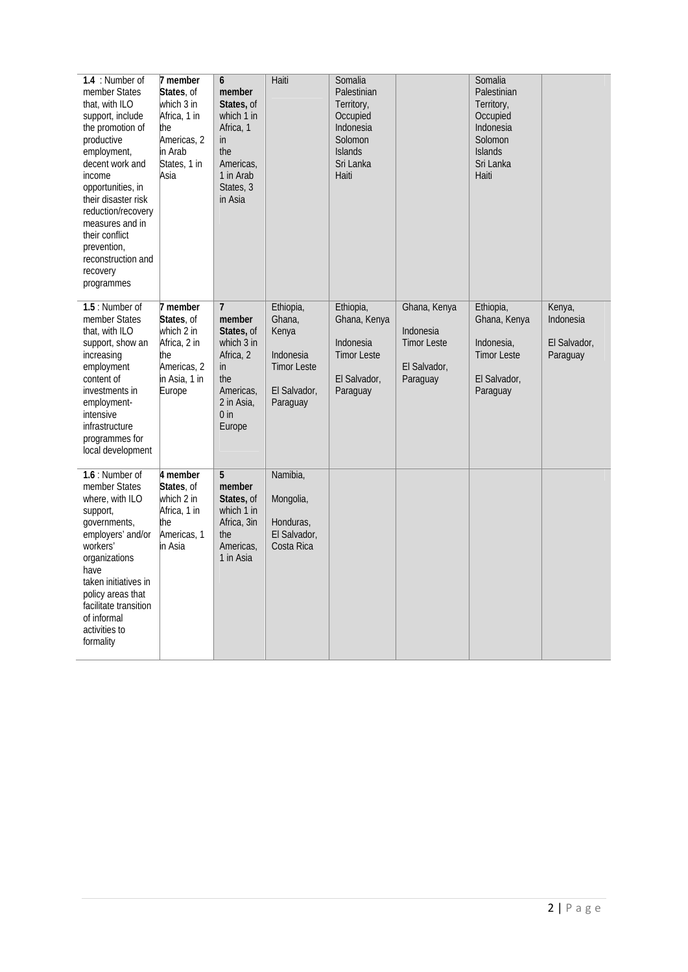| 1.4 : Number of<br>member States<br>that, with ILO<br>support, include<br>the promotion of<br>productive<br>employment,<br>decent work and<br>income<br>opportunities, in<br>their disaster risk<br>reduction/recovery<br>measures and in<br>their conflict<br>prevention,<br>reconstruction and<br>recovery<br>programmes | 7 member<br>States, of<br>which 3 in<br>Africa, 1 in<br>the<br>Americas, 2<br>in Arab<br>States, 1 in<br>Asia | 6<br>member<br>States, of<br>which 1 in<br>Africa, 1<br>in<br>the<br>Americas,<br>1 in Arab<br>States, 3<br>in Asia                      | Haiti                                                                                       | Somalia<br>Palestinian<br>Territory,<br>Occupied<br>Indonesia<br>Solomon<br><b>Islands</b><br>Sri Lanka<br>Haiti |                                                                             | Somalia<br>Palestinian<br>Territory,<br>Occupied<br>Indonesia<br>Solomon<br><b>Islands</b><br>Sri Lanka<br>Haiti |                                                 |
|----------------------------------------------------------------------------------------------------------------------------------------------------------------------------------------------------------------------------------------------------------------------------------------------------------------------------|---------------------------------------------------------------------------------------------------------------|------------------------------------------------------------------------------------------------------------------------------------------|---------------------------------------------------------------------------------------------|------------------------------------------------------------------------------------------------------------------|-----------------------------------------------------------------------------|------------------------------------------------------------------------------------------------------------------|-------------------------------------------------|
| 1.5 : Number of<br>member States<br>that, with ILO<br>support, show an<br>increasing<br>employment<br>content of<br>investments in<br>employment-<br>intensive<br>infrastructure<br>programmes for<br>local development                                                                                                    | 7 member<br>States, of<br>which 2 in<br>Africa, 2 in<br>the<br>Americas, 2<br>in Asia, 1 in<br>Europe         | $\overline{7}$<br>member<br>States, of<br>which 3 in<br>Africa, 2<br>$\mathsf{in}$<br>the<br>Americas,<br>2 in Asia,<br>$0$ in<br>Europe | Ethiopia,<br>Ghana,<br>Kenya<br>Indonesia<br><b>Timor Leste</b><br>El Salvador,<br>Paraguay | Ethiopia,<br>Ghana, Kenya<br>Indonesia<br><b>Timor Leste</b><br>El Salvador,<br>Paraguay                         | Ghana, Kenya<br>Indonesia<br><b>Timor Leste</b><br>El Salvador,<br>Paraguay | Ethiopia,<br>Ghana, Kenya<br>Indonesia,<br><b>Timor Leste</b><br>El Salvador,<br>Paraguay                        | Kenya,<br>Indonesia<br>El Salvador,<br>Paraguay |
| $1.6:$ Number of<br>member States<br>where, with ILO<br>support,<br>governments,<br>employers' and/or<br>workers'<br>organizations<br>have<br>taken initiatives in<br>policy areas that<br>facilitate transition<br>of informal<br>activities to<br>formality                                                              | 4 member<br>States, of<br>which 2 in<br>Africa, 1 in<br>the<br>Americas, 1<br>in Asia                         | 5<br>member<br>States, of<br>which 1 in<br>Africa, 3in<br>the<br>Americas,<br>1 in Asia                                                  | Namibia,<br>Mongolia,<br>Honduras,<br>El Salvador,<br>Costa Rica                            |                                                                                                                  |                                                                             |                                                                                                                  |                                                 |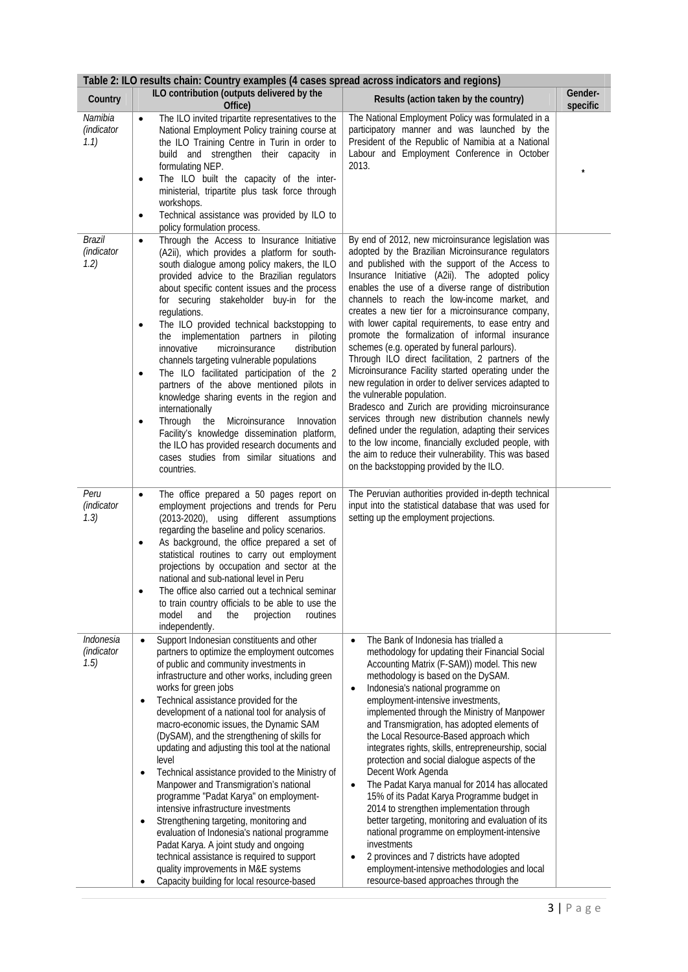| Table 2: ILO results chain: Country examples (4 cases spread across indicators and regions) |                                                                                                                                                                                                                                                                                                                                                                                                                                                                                                                                                                                                                                                                                                                                                                                                                                                                                                                                                                            |                                                                                                                                                                                                                                                                                                                                                                                                                                                                                                                                                                                                                                                                                                                                                                                                                                                                                                                                                                                                                                                                      |                     |  |  |  |
|---------------------------------------------------------------------------------------------|----------------------------------------------------------------------------------------------------------------------------------------------------------------------------------------------------------------------------------------------------------------------------------------------------------------------------------------------------------------------------------------------------------------------------------------------------------------------------------------------------------------------------------------------------------------------------------------------------------------------------------------------------------------------------------------------------------------------------------------------------------------------------------------------------------------------------------------------------------------------------------------------------------------------------------------------------------------------------|----------------------------------------------------------------------------------------------------------------------------------------------------------------------------------------------------------------------------------------------------------------------------------------------------------------------------------------------------------------------------------------------------------------------------------------------------------------------------------------------------------------------------------------------------------------------------------------------------------------------------------------------------------------------------------------------------------------------------------------------------------------------------------------------------------------------------------------------------------------------------------------------------------------------------------------------------------------------------------------------------------------------------------------------------------------------|---------------------|--|--|--|
| Country                                                                                     | ILO contribution (outputs delivered by the<br>Office)                                                                                                                                                                                                                                                                                                                                                                                                                                                                                                                                                                                                                                                                                                                                                                                                                                                                                                                      | Results (action taken by the country)                                                                                                                                                                                                                                                                                                                                                                                                                                                                                                                                                                                                                                                                                                                                                                                                                                                                                                                                                                                                                                | Gender-<br>specific |  |  |  |
| Namibia<br>(indicator<br>1.1)                                                               | The ILO invited tripartite representatives to the<br>$\bullet$<br>National Employment Policy training course at<br>the ILO Training Centre in Turin in order to<br>build and strengthen their capacity in<br>formulating NEP.<br>The ILO built the capacity of the inter-<br>$\bullet$<br>ministerial, tripartite plus task force through<br>workshops.<br>Technical assistance was provided by ILO to<br>$\bullet$<br>policy formulation process.                                                                                                                                                                                                                                                                                                                                                                                                                                                                                                                         | The National Employment Policy was formulated in a<br>participatory manner and was launched by the<br>President of the Republic of Namibia at a National<br>Labour and Employment Conference in October<br>2013.                                                                                                                                                                                                                                                                                                                                                                                                                                                                                                                                                                                                                                                                                                                                                                                                                                                     |                     |  |  |  |
| Brazil<br>(indicator<br>1.2)                                                                | Through the Access to Insurance Initiative<br>$\bullet$<br>(A2ii), which provides a platform for south-<br>south dialogue among policy makers, the ILO<br>provided advice to the Brazilian regulators<br>about specific content issues and the process<br>for securing stakeholder buy-in for the<br>regulations.<br>The ILO provided technical backstopping to<br>$\bullet$<br>the implementation partners in piloting<br>microinsurance<br>distribution<br>innovative<br>channels targeting vulnerable populations<br>The ILO facilitated participation of the 2<br>$\bullet$<br>partners of the above mentioned pilots in<br>knowledge sharing events in the region and<br>internationally<br>Through the<br>Microinsurance<br>Innovation<br>$\bullet$<br>Facility's knowledge dissemination platform,<br>the ILO has provided research documents and<br>cases studies from similar situations and<br>countries.                                                        | By end of 2012, new microinsurance legislation was<br>adopted by the Brazilian Microinsurance regulators<br>and published with the support of the Access to<br>Insurance Initiative (A2ii). The adopted policy<br>enables the use of a diverse range of distribution<br>channels to reach the low-income market, and<br>creates a new tier for a microinsurance company,<br>with lower capital requirements, to ease entry and<br>promote the formalization of informal insurance<br>schemes (e.g. operated by funeral parlours).<br>Through ILO direct facilitation, 2 partners of the<br>Microinsurance Facility started operating under the<br>new regulation in order to deliver services adapted to<br>the vulnerable population.<br>Bradesco and Zurich are providing microinsurance<br>services through new distribution channels newly<br>defined under the regulation, adapting their services<br>to the low income, financially excluded people, with<br>the aim to reduce their vulnerability. This was based<br>on the backstopping provided by the ILO. |                     |  |  |  |
| Peru<br>(indicator<br>1.3)                                                                  | The office prepared a 50 pages report on<br>$\bullet$<br>employment projections and trends for Peru<br>(2013-2020), using different assumptions<br>regarding the baseline and policy scenarios.<br>As background, the office prepared a set of<br>$\bullet$<br>statistical routines to carry out employment<br>projections by occupation and sector at the<br>national and sub-national level in Peru<br>The office also carried out a technical seminar<br>to train country officials to be able to use the<br>model<br>and<br>projection<br>the<br>routines<br>independently.                                                                                                                                                                                                                                                                                                                                                                                            | The Peruvian authorities provided in-depth technical<br>input into the statistical database that was used for<br>setting up the employment projections.                                                                                                                                                                                                                                                                                                                                                                                                                                                                                                                                                                                                                                                                                                                                                                                                                                                                                                              |                     |  |  |  |
| Indonesia<br>(indicator<br>1.5)                                                             | Support Indonesian constituents and other<br>$\bullet$<br>partners to optimize the employment outcomes<br>of public and community investments in<br>infrastructure and other works, including green<br>works for green jobs<br>Technical assistance provided for the<br>٠<br>development of a national tool for analysis of<br>macro-economic issues, the Dynamic SAM<br>(DySAM), and the strengthening of skills for<br>updating and adjusting this tool at the national<br>level<br>Technical assistance provided to the Ministry of<br>$\bullet$<br>Manpower and Transmigration's national<br>programme "Padat Karya" on employment-<br>intensive infrastructure investments<br>Strengthening targeting, monitoring and<br>$\bullet$<br>evaluation of Indonesia's national programme<br>Padat Karya. A joint study and ongoing<br>technical assistance is required to support<br>quality improvements in M&E systems<br>Capacity building for local resource-based<br>٠ | The Bank of Indonesia has trialled a<br>$\bullet$<br>methodology for updating their Financial Social<br>Accounting Matrix (F-SAM)) model. This new<br>methodology is based on the DySAM.<br>Indonesia's national programme on<br>$\bullet$<br>employment-intensive investments,<br>implemented through the Ministry of Manpower<br>and Transmigration, has adopted elements of<br>the Local Resource-Based approach which<br>integrates rights, skills, entrepreneurship, social<br>protection and social dialogue aspects of the<br>Decent Work Agenda<br>The Padat Karya manual for 2014 has allocated<br>$\bullet$<br>15% of its Padat Karya Programme budget in<br>2014 to strengthen implementation through<br>better targeting, monitoring and evaluation of its<br>national programme on employment-intensive<br>investments<br>2 provinces and 7 districts have adopted<br>٠<br>employment-intensive methodologies and local<br>resource-based approaches through the                                                                                        |                     |  |  |  |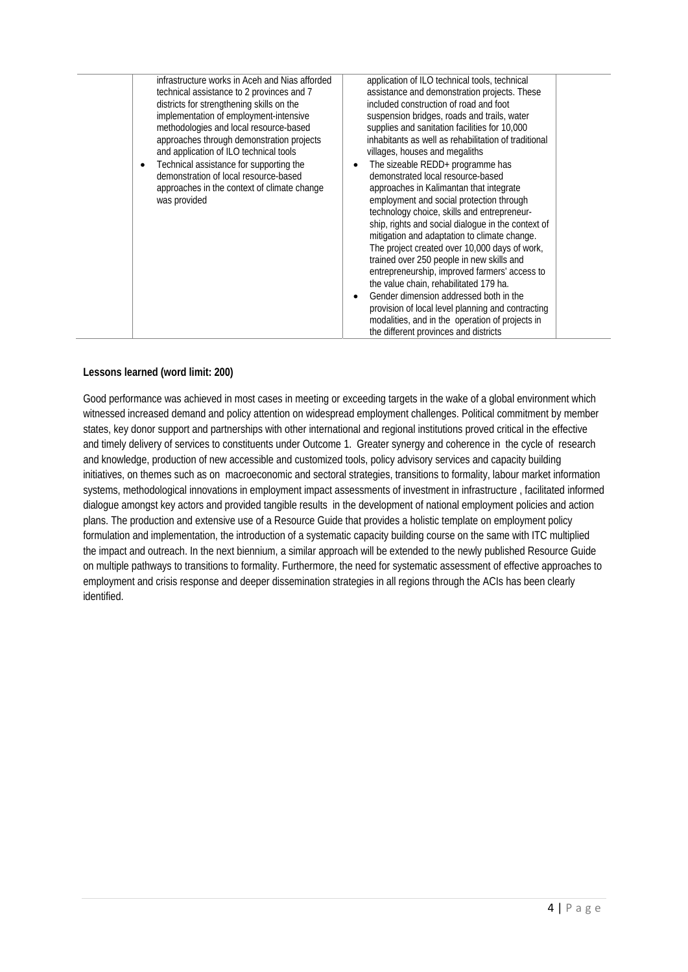|  | infrastructure works in Aceh and Nias afforded<br>technical assistance to 2 provinces and 7<br>districts for strengthening skills on the<br>implementation of employment-intensive<br>methodologies and local resource-based<br>approaches through demonstration projects<br>and application of ILO technical tools<br>Technical assistance for supporting the<br>demonstration of local resource-based<br>approaches in the context of climate change<br>was provided | application of ILO technical tools, technical<br>assistance and demonstration projects. These<br>included construction of road and foot<br>suspension bridges, roads and trails, water<br>supplies and sanitation facilities for 10,000<br>inhabitants as well as rehabilitation of traditional<br>villages, houses and megaliths<br>The sizeable REDD+ programme has<br>$\bullet$<br>demonstrated local resource-based<br>approaches in Kalimantan that integrate<br>employment and social protection through<br>technology choice, skills and entrepreneur-<br>ship, rights and social dialogue in the context of<br>mitigation and adaptation to climate change.<br>The project created over 10,000 days of work,<br>trained over 250 people in new skills and<br>entrepreneurship, improved farmers' access to<br>the value chain, rehabilitated 179 ha.<br>Gender dimension addressed both in the<br>$\bullet$<br>provision of local level planning and contracting<br>modalities, and in the operation of projects in<br>the different provinces and districts |
|--|------------------------------------------------------------------------------------------------------------------------------------------------------------------------------------------------------------------------------------------------------------------------------------------------------------------------------------------------------------------------------------------------------------------------------------------------------------------------|----------------------------------------------------------------------------------------------------------------------------------------------------------------------------------------------------------------------------------------------------------------------------------------------------------------------------------------------------------------------------------------------------------------------------------------------------------------------------------------------------------------------------------------------------------------------------------------------------------------------------------------------------------------------------------------------------------------------------------------------------------------------------------------------------------------------------------------------------------------------------------------------------------------------------------------------------------------------------------------------------------------------------------------------------------------------|
|--|------------------------------------------------------------------------------------------------------------------------------------------------------------------------------------------------------------------------------------------------------------------------------------------------------------------------------------------------------------------------------------------------------------------------------------------------------------------------|----------------------------------------------------------------------------------------------------------------------------------------------------------------------------------------------------------------------------------------------------------------------------------------------------------------------------------------------------------------------------------------------------------------------------------------------------------------------------------------------------------------------------------------------------------------------------------------------------------------------------------------------------------------------------------------------------------------------------------------------------------------------------------------------------------------------------------------------------------------------------------------------------------------------------------------------------------------------------------------------------------------------------------------------------------------------|

## **Lessons learned (word limit: 200)**

Good performance was achieved in most cases in meeting or exceeding targets in the wake of a global environment which witnessed increased demand and policy attention on widespread employment challenges. Political commitment by member states, key donor support and partnerships with other international and regional institutions proved critical in the effective and timely delivery of services to constituents under Outcome 1. Greater synergy and coherence in the cycle of research and knowledge, production of new accessible and customized tools, policy advisory services and capacity building initiatives, on themes such as on macroeconomic and sectoral strategies, transitions to formality, labour market information systems, methodological innovations in employment impact assessments of investment in infrastructure , facilitated informed dialogue amongst key actors and provided tangible results in the development of national employment policies and action plans. The production and extensive use of a Resource Guide that provides a holistic template on employment policy formulation and implementation, the introduction of a systematic capacity building course on the same with ITC multiplied the impact and outreach. In the next biennium, a similar approach will be extended to the newly published Resource Guide on multiple pathways to transitions to formality. Furthermore, the need for systematic assessment of effective approaches to employment and crisis response and deeper dissemination strategies in all regions through the ACIs has been clearly identified.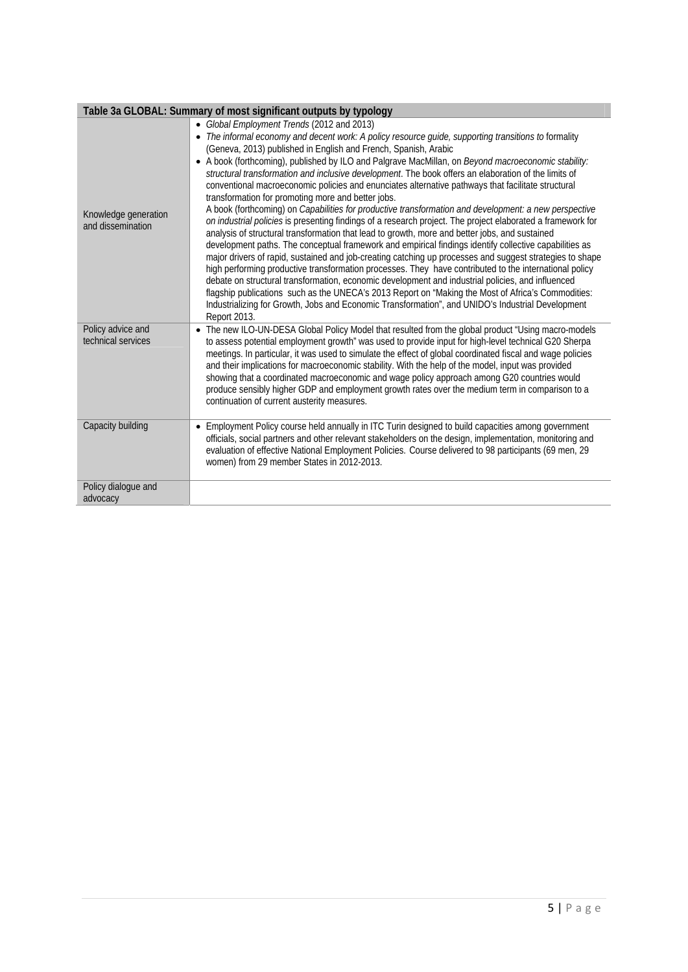|                                           | Table 3a GLOBAL: Summary of most significant outputs by typology                                                                                                                                                                                                                                                                                                                                                                                                                                                                                                                                                                                                                                                                                                                                                                                                                                                                                                                                                                                                                                                                                                                                                                                                                                                                                                                                                                                                                                                                                                                           |
|-------------------------------------------|--------------------------------------------------------------------------------------------------------------------------------------------------------------------------------------------------------------------------------------------------------------------------------------------------------------------------------------------------------------------------------------------------------------------------------------------------------------------------------------------------------------------------------------------------------------------------------------------------------------------------------------------------------------------------------------------------------------------------------------------------------------------------------------------------------------------------------------------------------------------------------------------------------------------------------------------------------------------------------------------------------------------------------------------------------------------------------------------------------------------------------------------------------------------------------------------------------------------------------------------------------------------------------------------------------------------------------------------------------------------------------------------------------------------------------------------------------------------------------------------------------------------------------------------------------------------------------------------|
| Knowledge generation<br>and dissemination | • Global Employment Trends (2012 and 2013)<br>• The informal economy and decent work: A policy resource guide, supporting transitions to formality<br>(Geneva, 2013) published in English and French, Spanish, Arabic<br>• A book (forthcoming), published by ILO and Palgrave MacMillan, on Beyond macroeconomic stability:<br>structural transformation and inclusive development. The book offers an elaboration of the limits of<br>conventional macroeconomic policies and enunciates alternative pathways that facilitate structural<br>transformation for promoting more and better jobs.<br>A book (forthcoming) on Capabilities for productive transformation and development: a new perspective<br>on industrial policies is presenting findings of a research project. The project elaborated a framework for<br>analysis of structural transformation that lead to growth, more and better jobs, and sustained<br>development paths. The conceptual framework and empirical findings identify collective capabilities as<br>major drivers of rapid, sustained and job-creating catching up processes and suggest strategies to shape<br>high performing productive transformation processes. They have contributed to the international policy<br>debate on structural transformation, economic development and industrial policies, and influenced<br>flagship publications such as the UNECA's 2013 Report on "Making the Most of Africa's Commodities:<br>Industrializing for Growth, Jobs and Economic Transformation", and UNIDO's Industrial Development<br>Report 2013. |
| Policy advice and<br>technical services   | • The new ILO-UN-DESA Global Policy Model that resulted from the global product "Using macro-models<br>to assess potential employment growth" was used to provide input for high-level technical G20 Sherpa<br>meetings. In particular, it was used to simulate the effect of global coordinated fiscal and wage policies<br>and their implications for macroeconomic stability. With the help of the model, input was provided<br>showing that a coordinated macroeconomic and wage policy approach among G20 countries would<br>produce sensibly higher GDP and employment growth rates over the medium term in comparison to a<br>continuation of current austerity measures.                                                                                                                                                                                                                                                                                                                                                                                                                                                                                                                                                                                                                                                                                                                                                                                                                                                                                                           |
| Capacity building                         | Employment Policy course held annually in ITC Turin designed to build capacities among government<br>officials, social partners and other relevant stakeholders on the design, implementation, monitoring and<br>evaluation of effective National Employment Policies. Course delivered to 98 participants (69 men, 29<br>women) from 29 member States in 2012-2013.                                                                                                                                                                                                                                                                                                                                                                                                                                                                                                                                                                                                                                                                                                                                                                                                                                                                                                                                                                                                                                                                                                                                                                                                                       |
| Policy dialogue and<br>advocacy           |                                                                                                                                                                                                                                                                                                                                                                                                                                                                                                                                                                                                                                                                                                                                                                                                                                                                                                                                                                                                                                                                                                                                                                                                                                                                                                                                                                                                                                                                                                                                                                                            |